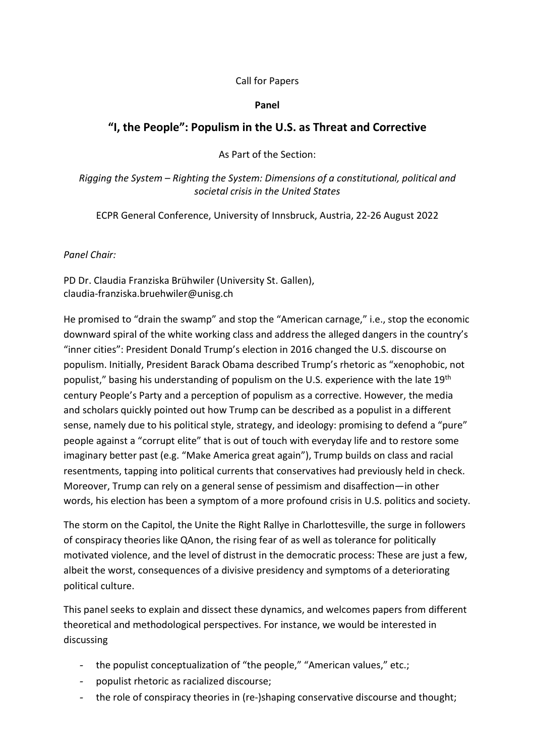## Call for Papers

## Panel

## "I, the People": Populism in the U.S. as Threat and Corrective

As Part of the Section:

Rigging the System – Righting the System: Dimensions of a constitutional, political and societal crisis in the United States

ECPR General Conference, University of Innsbruck, Austria, 22-26 August 2022

## Panel Chair:

PD Dr. Claudia Franziska Brühwiler (University St. Gallen), claudia-franziska.bruehwiler@unisg.ch

He promised to "drain the swamp" and stop the "American carnage," i.e., stop the economic downward spiral of the white working class and address the alleged dangers in the country's "inner cities": President Donald Trump's election in 2016 changed the U.S. discourse on populism. Initially, President Barack Obama described Trump's rhetoric as "xenophobic, not populist," basing his understanding of populism on the U.S. experience with the late 19<sup>th</sup> century People's Party and a perception of populism as a corrective. However, the media and scholars quickly pointed out how Trump can be described as a populist in a different sense, namely due to his political style, strategy, and ideology: promising to defend a "pure" people against a "corrupt elite" that is out of touch with everyday life and to restore some imaginary better past (e.g. "Make America great again"), Trump builds on class and racial resentments, tapping into political currents that conservatives had previously held in check. Moreover, Trump can rely on a general sense of pessimism and disaffection—in other words, his election has been a symptom of a more profound crisis in U.S. politics and society.

The storm on the Capitol, the Unite the Right Rallye in Charlottesville, the surge in followers of conspiracy theories like QAnon, the rising fear of as well as tolerance for politically motivated violence, and the level of distrust in the democratic process: These are just a few, albeit the worst, consequences of a divisive presidency and symptoms of a deteriorating political culture.

This panel seeks to explain and dissect these dynamics, and welcomes papers from different theoretical and methodological perspectives. For instance, we would be interested in discussing

- the populist conceptualization of "the people," "American values," etc.;
- populist rhetoric as racialized discourse;
- the role of conspiracy theories in (re-)shaping conservative discourse and thought;